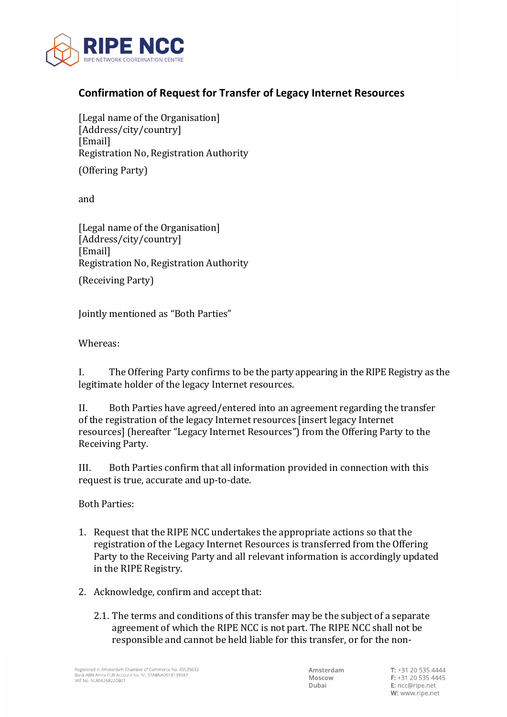

## **Confirmation of Request for Transfer of Legacy Internet Resources**

[Legal name of the Organisation] [Address/city/country] [Email] Registration No, Registration Authority

(Offering Party)

and

[Legal name of the Organisation] [Address/city/country] [Email] Registration No, Registration Authority

(Receiving Party)

Jointly mentioned as "Both Parties"

Whereas:

I. The Offering Party confirms to be the party appearing in the RIPE Registry as the legitimate holder of the legacy Internet resources.

II. Both Parties have agreed/entered into an agreement regarding the transfer of the registration of the legacy Internet resources [insert legacy Internet resources] (hereafter "Legacy Internet Resources") from the Offering Party to the Receiving Party.

III. Both Parties confirm that all information provided in connection with this request is true, accurate and up-to-date.

Both Parties:

- 1. Request that the RIPE NCC undertakes the appropriate actions so that the registration of the Legacy Internet Resources is transferred from the Offering Party to the Receiving Party and all relevant information is accordingly updated in the RIPE Registry.
- 2. Acknowledge, confirm and accept that:
	- 2.1. The terms and conditions of this transfer may be the subject of a separate agreement of which the RIPE NCC is not part. The RIPE NCC shall not be responsible and cannot be held liable for this transfer, or for the non-